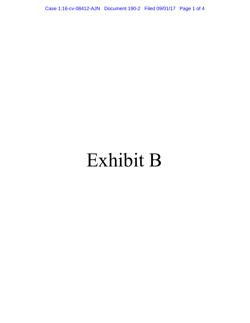Case 1:16-cv-08412-AJN Document 190-2 Filed 09/01/17 Page 1 of 4

## Exhibit B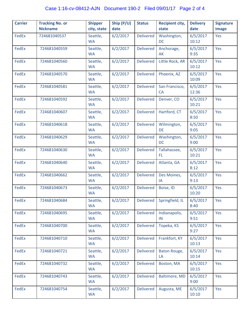| <b>Carrier</b> | <b>Tracking No. or</b><br><b>Nickname</b> | <b>Shipper</b><br>city, state | Ship (P/U)<br>date | <b>Status</b>    | <b>Recipient city,</b><br>state | <b>Delivery</b><br>date | <b>Signature</b><br>image |
|----------------|-------------------------------------------|-------------------------------|--------------------|------------------|---------------------------------|-------------------------|---------------------------|
| FedEx          | 724681040537                              | Seattle,<br><b>WA</b>         | 6/2/2017           | <b>Delivered</b> | Washington,<br><b>DC</b>        | 6/5/2017<br>10:12       | Yes                       |
| <b>FedEx</b>   | 724681040559                              | Seattle,<br><b>WA</b>         | 6/2/2017           | <b>Delivered</b> | Anchorage,<br>AK                | 6/5/2017<br>9:35        | Yes                       |
| FedEx          | 724681040560                              | Seattle,<br><b>WA</b>         | 6/2/2017           | <b>Delivered</b> | Little Rock, AR                 | 6/5/2017<br>10:12       | Yes                       |
| <b>FedEx</b>   | 724681040570                              | Seattle,<br><b>WA</b>         | 6/2/2017           | <b>Delivered</b> | Phoenix, AZ                     | 6/5/2017<br>10:09       | Yes                       |
| <b>FedEx</b>   | 724681040581                              | Seattle,<br><b>WA</b>         | 6/2/2017           | <b>Delivered</b> | San Francisco,<br><b>CA</b>     | 6/5/2017<br>12:36       | Yes                       |
| FedEx          | 724681040592                              | Seattle,<br><b>WA</b>         | 6/2/2017           | <b>Delivered</b> | Denver, CO                      | 6/5/2017<br>10:21       | Yes                       |
| <b>FedEx</b>   | 724681040607                              | Seattle,<br><b>WA</b>         | 6/2/2017           | <b>Delivered</b> | Hartford, CT                    | 6/5/2017<br>8:50        | Yes                       |
| <b>FedEx</b>   | 724681040618                              | Seattle,<br><b>WA</b>         | 6/2/2017           | <b>Delivered</b> | Wilmington,<br>DE               | 6/5/2017<br>9:05        | Yes                       |
| <b>FedEx</b>   | 724681040629                              | Seattle,<br><b>WA</b>         | 6/2/2017           | <b>Delivered</b> | Washington,<br><b>DC</b>        | 6/5/2017<br>9:00        | Yes                       |
| <b>FedEx</b>   | 724681040630                              | Seattle,<br><b>WA</b>         | 6/2/2017           | <b>Delivered</b> | Tallahassee,<br>FL.             | 6/5/2017<br>10:21       | Yes                       |
| FedEx          | 724681040640                              | Seattle,<br><b>WA</b>         | 6/2/2017           | <b>Delivered</b> | Atlanta, GA                     | 6/5/2017<br>8:12        | Yes                       |
| <b>FedEx</b>   | 724681040662                              | Seattle,<br><b>WA</b>         | 6/2/2017           | <b>Delivered</b> | Des Moines,<br>IA               | 6/5/2017<br>9:13        | Yes                       |
| FedEx          | 724681040673                              | Seattle,<br><b>WA</b>         | 6/2/2017           | <b>Delivered</b> | Boise, ID                       | 6/5/2017<br>10:20       | Yes                       |
| FedEx          | 724681040684                              | Seattle,<br><b>WA</b>         | 6/2/2017           | <b>Delivered</b> | Springfield, IL                 | 6/5/2017<br>8:40        | Yes                       |
| FedEx          | 724681040695                              | Seattle,<br><b>WA</b>         | 6/2/2017           | <b>Delivered</b> | Indianapolis,<br>IN             | 6/5/2017<br>9:51        | Yes                       |
| FedEx          | 724681040700                              | Seattle,<br><b>WA</b>         | 6/2/2017           | <b>Delivered</b> | Topeka, KS                      | 6/5/2017<br>9:27        | Yes                       |
| FedEx          | 724681040710                              | Seattle,<br><b>WA</b>         | 6/2/2017           | <b>Delivered</b> | Frankfort, KY                   | 6/5/2017<br>10:13       | Yes                       |
| FedEx          | 724681040721                              | Seattle,<br><b>WA</b>         | 6/2/2017           | <b>Delivered</b> | Baton Rouge,<br>LA              | 6/5/2017<br>10:14       | Yes                       |
| FedEx          | 724681040732                              | Seattle,<br><b>WA</b>         | 6/2/2017           | <b>Delivered</b> | Boston, MA                      | 6/5/2017<br>10:15       | Yes                       |
| FedEx          | 724681040743                              | Seattle,<br><b>WA</b>         | 6/2/2017           | <b>Delivered</b> | Baltimore, MD                   | 6/5/2017<br>9:00        | Yes                       |
| FedEx          | 724681040754                              | Seattle,<br><b>WA</b>         | 6/2/2017           | <b>Delivered</b> | Augusta, ME                     | 6/5/2017<br>10:10       | Yes                       |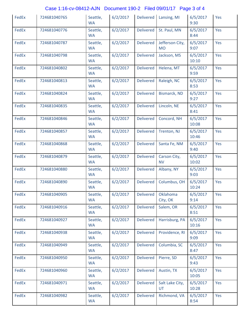## Case 1:16-cv-08412-AJN Document 190-2 Filed 09/01/17 Page 3 of 4

| FedEx | 724681040765 | Seattle,<br><b>WA</b> | 6/2/2017 | <b>Delivered</b> | Lansing, MI                  | 6/5/2017<br>9:30  | Yes |
|-------|--------------|-----------------------|----------|------------------|------------------------------|-------------------|-----|
| FedEx | 724681040776 | Seattle,<br><b>WA</b> | 6/2/2017 | <b>Delivered</b> | St. Paul, MN                 | 6/5/2017<br>8:44  | Yes |
| FedEx | 724681040787 | Seattle,<br><b>WA</b> | 6/2/2017 | <b>Delivered</b> | Jefferson City,<br><b>MO</b> | 6/5/2017<br>9:07  | Yes |
| FedEx | 724681040798 | Seattle,<br><b>WA</b> | 6/2/2017 | <b>Delivered</b> | Jackson, MS                  | 6/5/2017<br>10:10 | Yes |
| FedEx | 724681040802 | Seattle,<br><b>WA</b> | 6/2/2017 | <b>Delivered</b> | Helena, MT                   | 6/5/2017<br>9:59  | Yes |
| FedEx | 724681040813 | Seattle,<br><b>WA</b> | 6/2/2017 | <b>Delivered</b> | Raleigh, NC                  | 6/5/2017<br>8:53  | Yes |
| FedEx | 724681040824 | Seattle,<br><b>WA</b> | 6/2/2017 | <b>Delivered</b> | <b>Bismarck, ND</b>          | 6/5/2017<br>9:27  | Yes |
| FedEx | 724681040835 | Seattle,<br><b>WA</b> | 6/2/2017 | <b>Delivered</b> | Lincoln, NE                  | 6/5/2017<br>8:41  | Yes |
| FedEx | 724681040846 | Seattle,<br><b>WA</b> | 6/2/2017 | <b>Delivered</b> | Concord, NH                  | 6/5/2017<br>10:08 | Yes |
| FedEx | 724681040857 | Seattle,<br><b>WA</b> | 6/2/2017 | <b>Delivered</b> | Trenton, NJ                  | 6/5/2017<br>10:46 | Yes |
| FedEx | 724681040868 | Seattle,<br><b>WA</b> | 6/2/2017 | <b>Delivered</b> | Santa Fe, NM                 | 6/5/2017<br>9:40  | Yes |
| FedEx | 724681040879 | Seattle,<br><b>WA</b> | 6/2/2017 | <b>Delivered</b> | Carson City,<br><b>NV</b>    | 6/5/2017<br>10:02 | Yes |
| FedEx | 724681040880 | Seattle,<br><b>WA</b> | 6/2/2017 | <b>Delivered</b> | Albany, NY                   | 6/5/2017<br>9:03  | Yes |
| FedEx | 724681040890 | Seattle,<br><b>WA</b> | 6/2/2017 | <b>Delivered</b> | Columbus, OH                 | 6/5/2017<br>10:24 | Yes |
| FedEx | 724681040905 | Seattle,<br><b>WA</b> | 6/2/2017 | Delivered        | Oklahoma<br>City, OK         | 6/5/2017<br>9:14  | Yes |
| FedEx | 724681040916 | Seattle,<br><b>WA</b> | 6/2/2017 | <b>Delivered</b> | Salem, OR                    | 6/5/2017<br>8:51  | Yes |
| FedEx | 724681040927 | Seattle,<br><b>WA</b> | 6/2/2017 | <b>Delivered</b> | Harrisburg, PA               | 6/5/2017<br>10:16 | Yes |
| FedEx | 724681040938 | Seattle,<br><b>WA</b> | 6/2/2017 | <b>Delivered</b> | Providence, RI               | 6/5/2017<br>9:09  | Yes |
| FedEx | 724681040949 | Seattle,<br><b>WA</b> | 6/2/2017 | <b>Delivered</b> | Columbia, SC                 | 6/5/2017<br>8:47  | Yes |
| FedEx | 724681040950 | Seattle,<br><b>WA</b> | 6/2/2017 | <b>Delivered</b> | Pierre, SD                   | 6/5/2017<br>9:43  | Yes |
| FedEx | 724681040960 | Seattle,<br><b>WA</b> | 6/2/2017 | <b>Delivered</b> | Austin, TX                   | 6/5/2017<br>10:05 | Yes |
| FedEx | 724681040971 | Seattle,<br><b>WA</b> | 6/2/2017 | <b>Delivered</b> | Salt Lake City,<br><b>UT</b> | 6/5/2017<br>10:28 | Yes |
| FedEx | 724681040982 | Seattle,<br><b>WA</b> | 6/2/2017 | <b>Delivered</b> | Richmond, VA                 | 6/5/2017<br>8:54  | Yes |